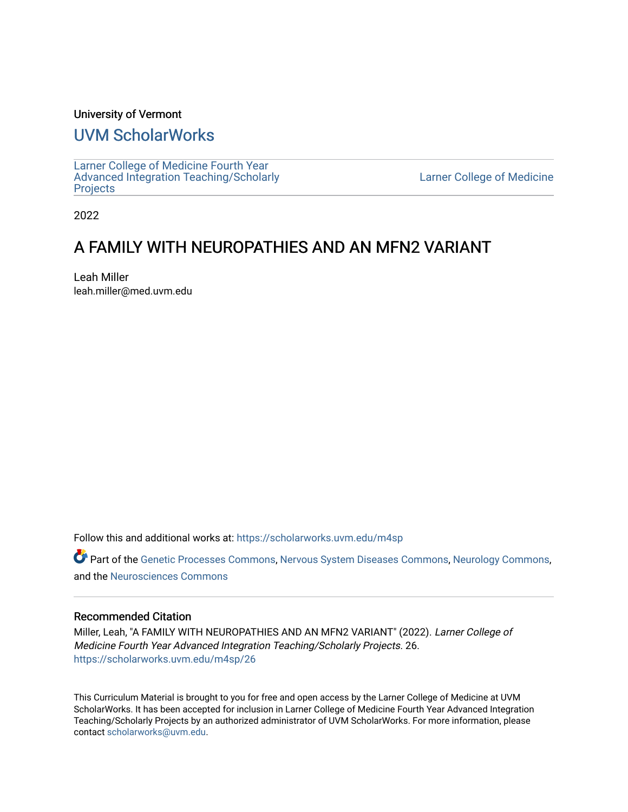### University of Vermont

### [UVM ScholarWorks](https://scholarworks.uvm.edu/)

[Larner College of Medicine Fourth Year](https://scholarworks.uvm.edu/m4sp)  [Advanced Integration Teaching/Scholarly](https://scholarworks.uvm.edu/m4sp)  [Projects](https://scholarworks.uvm.edu/m4sp)

[Larner College of Medicine](https://scholarworks.uvm.edu/com) 

2022

### A FAMILY WITH NEUROPATHIES AND AN MFN2 VARIANT

Leah Miller leah.miller@med.uvm.edu

Follow this and additional works at: [https://scholarworks.uvm.edu/m4sp](https://scholarworks.uvm.edu/m4sp?utm_source=scholarworks.uvm.edu%2Fm4sp%2F26&utm_medium=PDF&utm_campaign=PDFCoverPages)

Part of the [Genetic Processes Commons,](http://network.bepress.com/hgg/discipline/923?utm_source=scholarworks.uvm.edu%2Fm4sp%2F26&utm_medium=PDF&utm_campaign=PDFCoverPages) [Nervous System Diseases Commons](http://network.bepress.com/hgg/discipline/928?utm_source=scholarworks.uvm.edu%2Fm4sp%2F26&utm_medium=PDF&utm_campaign=PDFCoverPages), [Neurology Commons,](http://network.bepress.com/hgg/discipline/692?utm_source=scholarworks.uvm.edu%2Fm4sp%2F26&utm_medium=PDF&utm_campaign=PDFCoverPages) and the [Neurosciences Commons](http://network.bepress.com/hgg/discipline/1010?utm_source=scholarworks.uvm.edu%2Fm4sp%2F26&utm_medium=PDF&utm_campaign=PDFCoverPages)

### Recommended Citation

Miller, Leah, "A FAMILY WITH NEUROPATHIES AND AN MFN2 VARIANT" (2022). Larner College of Medicine Fourth Year Advanced Integration Teaching/Scholarly Projects. 26. [https://scholarworks.uvm.edu/m4sp/26](https://scholarworks.uvm.edu/m4sp/26?utm_source=scholarworks.uvm.edu%2Fm4sp%2F26&utm_medium=PDF&utm_campaign=PDFCoverPages) 

This Curriculum Material is brought to you for free and open access by the Larner College of Medicine at UVM ScholarWorks. It has been accepted for inclusion in Larner College of Medicine Fourth Year Advanced Integration Teaching/Scholarly Projects by an authorized administrator of UVM ScholarWorks. For more information, please contact [scholarworks@uvm.edu.](mailto:scholarworks@uvm.edu)